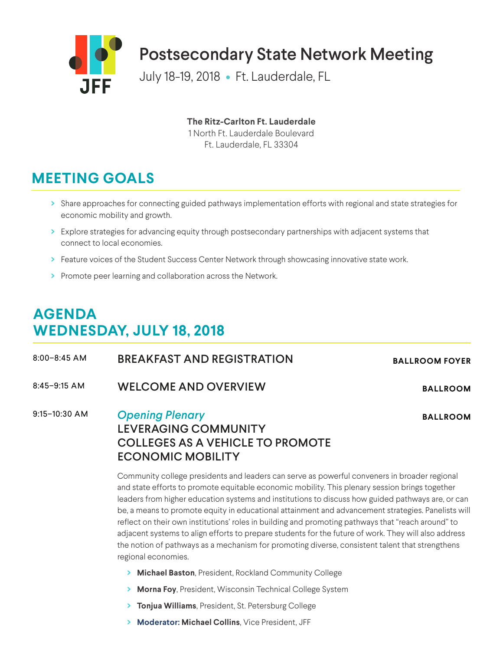

**The Ritz-Carlton Ft. Lauderdale**

1 North Ft. Lauderdale Boulevard Ft. Lauderdale, FL 33304

## **MEETING GOALS**

- **>** Share approaches for connecting guided pathways implementation efforts with regional and state strategies for economic mobility and growth.
- **>** Explore strategies for advancing equity through postsecondary partnerships with adjacent systems that connect to local economies.
- > Feature voices of the Student Success Center Network through showcasing innovative state work.
- **>** Promote peer learning and collaboration across the Network.

## **AGENDA WEDNESDAY, JULY 18, 2018**

8:00–8:45 AM BREAKFAST AND REGISTRATION **BALLROOM FOYER** 8:45–9:15 AM WELCOME AND OVERVIEW **BALLROOM** 9:15–10:30 AM *Opening Plenary* LEVERAGING COMMUNITY COLLEGES AS A VEHICLE TO PROMOTE ECONOMIC MOBILITY **BALLROOM**

Community college presidents and leaders can serve as powerful conveners in broader regional and state efforts to promote equitable economic mobility. This plenary session brings together leaders from higher education systems and institutions to discuss how guided pathways are, or can be, a means to promote equity in educational attainment and advancement strategies. Panelists will reflect on their own institutions' roles in building and promoting pathways that "reach around" to adjacent systems to align efforts to prepare students for the future of work. They will also address the notion of pathways as a mechanism for promoting diverse, consistent talent that strengthens regional economies.

- **> Michael Baston**, President, Rockland Community College
- **> Morna Foy**, President, Wisconsin Technical College System
- **> Tonjua Williams**, President, St. Petersburg College
- **> Moderator: Michael Collins**, Vice President, JFF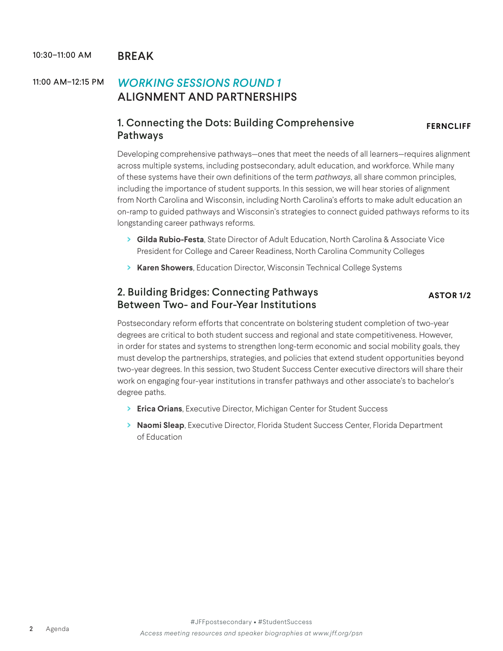#### 10:30-11:00 AM BRFAK

#### 11:00 AM–12:15 PM *WORKING SESSIONS ROUND 1* ALIGNMENT AND PARTNERSHIPS

#### 1. Connecting the Dots: Building Comprehensive Pathways

**FERNCLIFF**

Developing comprehensive pathways—ones that meet the needs of all learners—requires alignment across multiple systems, including postsecondary, adult education, and workforce. While many of these systems have their own definitions of the term *pathways*, all share common principles, including the importance of student supports. In this session, we will hear stories of alignment from North Carolina and Wisconsin, including North Carolina's efforts to make adult education an on-ramp to guided pathways and Wisconsin's strategies to connect guided pathways reforms to its longstanding career pathways reforms.

- **> Gilda Rubio-Festa**, State Director of Adult Education, North Carolina & Associate Vice President for College and Career Readiness, North Carolina Community Colleges
- **> Karen Showers**, Education Director, Wisconsin Technical College Systems

#### 2. Building Bridges: Connecting Pathways Between Two- and Four-Year Institutions

**ASTOR 1/2**

Postsecondary reform efforts that concentrate on bolstering student completion of two-year degrees are critical to both student success and regional and state competitiveness. However, in order for states and systems to strengthen long-term economic and social mobility goals, they must develop the partnerships, strategies, and policies that extend student opportunities beyond two-year degrees. In this session, two Student Success Center executive directors will share their work on engaging four-year institutions in transfer pathways and other associate's to bachelor's degree paths.

- **> Erica Orians**, Executive Director, Michigan Center for Student Success
- **> Naomi Sleap**, Executive Director, Florida Student Success Center, Florida Department of Education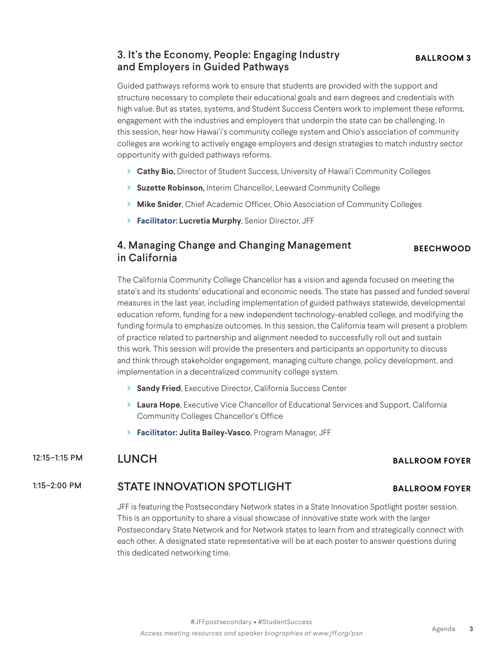#### 3. It's the Economy, People: Engaging Industry and Employers in Guided Pathways

Guided pathways reforms work to ensure that students are provided with the support and structure necessary to complete their educational goals and earn degrees and credentials with high value. But as states, systems, and Student Success Centers work to implement these reforms, engagement with the industries and employers that underpin the state can be challenging. In this session, hear how Hawai'i's community college system and Ohio's association of community colleges are working to actively engage employers and design strategies to match industry sector opportunity with guided pathways reforms.

- **> Cathy Bio,** Director of Student Success, University of Hawai'i Community Colleges
- **> Suzette Robinson,** Interim Chancellor, Leeward Community College
- **> Mike Snider**, Chief Academic Officer, Ohio Association of Community Colleges
- **> Facilitator: Lucretia Murphy**, Senior Director, JFF

#### 4. Managing Change and Changing Management in California

The California Community College Chancellor has a vision and agenda focused on meeting the state's and its students' educational and economic needs. The state has passed and funded several measures in the last year, including implementation of guided pathways statewide, developmental education reform, funding for a new independent technology-enabled college, and modifying the funding formula to emphasize outcomes. In this session, the California team will present a problem of practice related to partnership and alignment needed to successfully roll out and sustain this work. This session will provide the presenters and participants an opportunity to discuss and think through stakeholder engagement, managing culture change, policy development, and implementation in a decentralized community college system.

- **> Sandy Fried**, Executive Director, California Success Center
- **> Laura Hope**, Executive Vice Chancellor of Educational Services and Support, California Community Colleges Chancellor's Office
- **> Facilitator: Julita Bailey-Vasco**, Program Manager, JFF

#### 12:15–1:15 PM LUNCH **BALLROOM FOYER**

#### 1:15–2:00 PM STATE INNOVATION SPOTLIGHT **BALLROOM FOYER**

JFF is featuring the Postsecondary Network states in a State Innovation Spotlight poster session. This is an opportunity to share a visual showcase of innovative state work with the larger Postsecondary State Network and for Network states to learn from and strategically connect with each other. A designated state representative will be at each poster to answer questions during this dedicated networking time.

**BEECHWOOD**

#### **BALLROOM 3**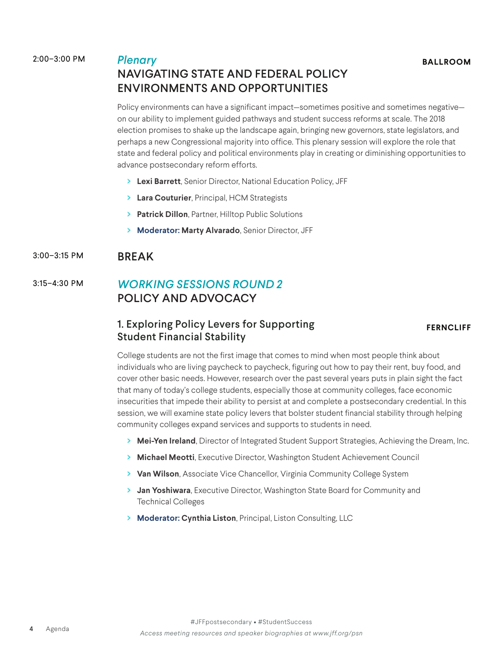2:00–3:00 PM *Plenary*

#### NAVIGATING STATE AND FEDERAL POLICY ENVIRONMENTS AND OPPORTUNITIES

Policy environments can have a significant impact—sometimes positive and sometimes negative on our ability to implement guided pathways and student success reforms at scale. The 2018 election promises to shake up the landscape again, bringing new governors, state legislators, and perhaps a new Congressional majority into office. This plenary session will explore the role that state and federal policy and political environments play in creating or diminishing opportunities to advance postsecondary reform efforts.

- **> Lexi Barrett**, Senior Director, National Education Policy, JFF
- **> Lara Couturier**, Principal, HCM Strategists
- **> Patrick Dillon**, Partner, Hilltop Public Solutions
- **> Moderator: Marty Alvarado**, Senior Director, JFF

#### 3:00–3:15 PM BREAK

#### 3:15–4:30 PM *WORKING SESSIONS ROUND 2* POLICY AND ADVOCACY

#### 1. Exploring Policy Levers for Supporting Student Financial Stability

#### **FERNCLIFF**

College students are not the first image that comes to mind when most people think about individuals who are living paycheck to paycheck, figuring out how to pay their rent, buy food, and cover other basic needs. However, research over the past several years puts in plain sight the fact that many of today's college students, especially those at community colleges, face economic insecurities that impede their ability to persist at and complete a postsecondary credential. In this session, we will examine state policy levers that bolster student financial stability through helping community colleges expand services and supports to students in need.

- **> Mei-Yen Ireland**, Director of Integrated Student Support Strategies, Achieving the Dream, Inc.
- **> Michael Meotti**, Executive Director, Washington Student Achievement Council
- **> Van Wilson**, Associate Vice Chancellor, Virginia Community College System
- **> Jan Yoshiwara**, Executive Director, Washington State Board for Community and Technical Colleges
- **> Moderator: Cynthia Liston**, Principal, Liston Consulting, LLC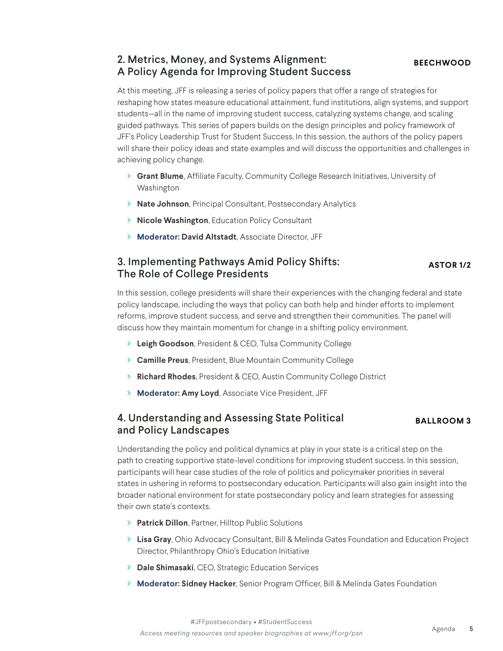#### 2. Metrics, Money, and Systems Alignment: A Policy Agenda for Improving Student Success

At this meeting, JFF is releasing a series of policy papers that offer a range of strategies for reshaping how states measure educational attainment, fund institutions, align systems, and support students—all in the name of improving student success, catalyzing systems change, and scaling guided pathways. This series of papers builds on the design principles and policy framework of JFF's Policy Leadership Trust for Student Success. In this session, the authors of the policy papers will share their policy ideas and state examples and will discuss the opportunities and challenges in achieving policy change.

- **> Grant Blume**, Affiliate Faculty, Community College Research Initiatives, University of Washington
- **> Nate Johnson**, Principal Consultant, Postsecondary Analytics
- **> Nicole Washington**, Education Policy Consultant
- **> Moderator: David Altstadt**, Associate Director, JFF

#### 3. Implementing Pathways Amid Policy Shifts: The Role of College Presidents **ASTOR 1/2**

In this session, college presidents will share their experiences with the changing federal and state policy landscape, including the ways that policy can both help and hinder efforts to implement reforms, improve student success, and serve and strengthen their communities. The panel will discuss how they maintain momentum for change in a shifting policy environment.

- **> Leigh Goodson**, President & CEO, Tulsa Community College
- **> Camille Preus**, President, Blue Mountain Community College
- **> Richard Rhodes**, President & CEO, Austin Community College District
- **> Moderator: Amy Loyd**, Associate Vice President, JFF

#### 4. Understanding and Assessing State Political and Policy Landscapes

#### **BALLROOM 3**

Understanding the policy and political dynamics at play in your state is a critical step on the path to creating supportive state-level conditions for improving student success. In this session, participants will hear case studies of the role of politics and policymaker priorities in several states in ushering in reforms to postsecondary education. Participants will also gain insight into the broader national environment for state postsecondary policy and learn strategies for assessing their own state's contexts.

- **> Patrick Dillon**, Partner, Hilltop Public Solutions
- **> Lisa Gray**, Ohio Advocacy Consultant, Bill & Melinda Gates Foundation and Education Project Director, Philanthropy Ohio's Education Initiative
- **> Dale Shimasaki**, CEO, Strategic Education Services
- **> Moderator: Sidney Hacker**, Senior Program Officer, Bill & Melinda Gates Foundation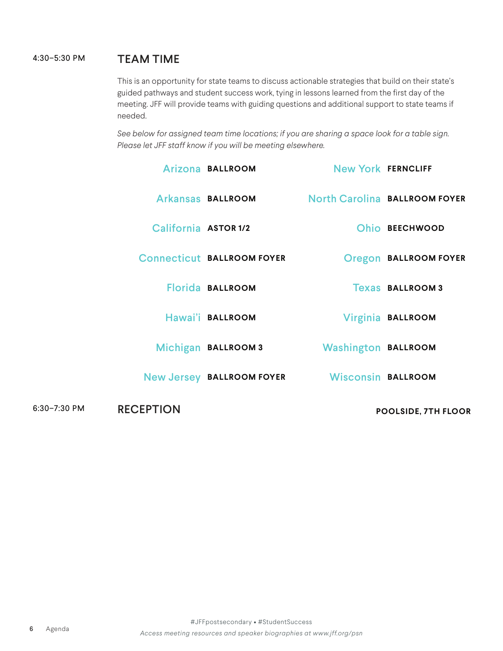#### 4:30–5:30 PM TEAM TIME

This is an opportunity for state teams to discuss actionable strategies that build on their state's guided pathways and student success work, tying in lessons learned from the first day of the meeting. JFF will provide teams with guiding questions and additional support to state teams if needed.

*See below for assigned team time locations; if you are sharing a space look for a table sign. Please let JFF staff know if you will be meeting elsewhere.*

|              |                      | Arizona BALLROOM                  | <b>New York FERNCLIFF</b>  |                               |
|--------------|----------------------|-----------------------------------|----------------------------|-------------------------------|
|              |                      | Arkansas BALLROOM                 |                            | North Carolina BALLROOM FOYER |
|              | California ASTOR 1/2 |                                   |                            | Ohio BEECHWOOD                |
|              |                      | <b>Connecticut BALLROOM FOYER</b> |                            | <b>Oregon BALLROOM FOYER</b>  |
|              |                      | Florida BALLROOM                  |                            | <b>Texas BALLROOM 3</b>       |
|              |                      | Hawai'i BALLROOM                  |                            | Virginia BALLROOM             |
|              |                      | Michigan BALLROOM 3               | <b>Washington BALLROOM</b> |                               |
|              |                      | <b>New Jersey BALLROOM FOYER</b>  | <b>Wisconsin BALLROOM</b>  |                               |
| 6:30-7:30 PM | <b>RECEPTION</b>     |                                   | <b>POOLSIDE, 7TH FLOOR</b> |                               |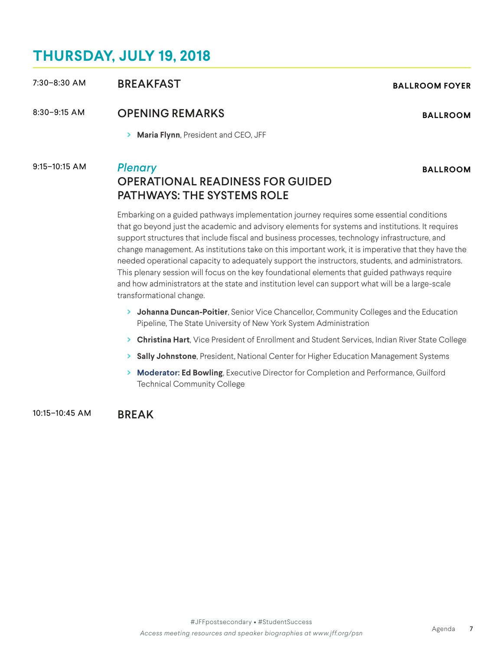### **THURSDAY, JULY 19, 2018**

Embarking on a guided pathways implementation journey requires some essential conditions that go beyond just the academic and advisory elements for systems and institutions. It requires support structures that include fiscal and business processes, technology infrastructure, and change management. As institutions take on this important work, it is imperative that they have the needed operational capacity to adequately support the instructors, students, and administrators. This plenary session will focus on the key foundational elements that guided pathways require and how administrators at the state and institution level can support what will be a large-scale

# PATHWAYS: THE SYSTEMS ROLE

transformational change. **> Johanna Duncan-Poitier**, Senior Vice Chancellor, Community Colleges and the Education Pipeline, The State University of New York System Administration

- **> Christina Hart**, Vice President of Enrollment and Student Services, Indian River State College
- **> Sally Johnstone**, President, National Center for Higher Education Management Systems
- **> Moderator: Ed Bowling**, Executive Director for Completion and Performance, Guilford Technical Community College

10:15–10:45 AM BREAK

#### 8:30–9:15 AM OPENING REMARKS **BALLROOM**

**> Maria Flynn**, President and CEO, JFF

#### 9:15–10:15 AM *Plenary*

## OPERATIONAL READINESS FOR GUIDED

**BALLROOM**

7:30–8:30 AM BREAKFAST **BALLROOM FOYER**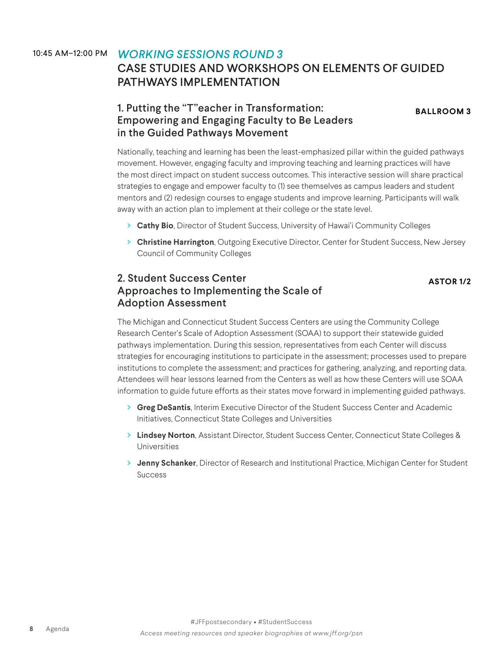#### 10:45 AM–12:00 PM *WORKING SESSIONS ROUND 3* CASE STUDIES AND WORKSHOPS ON ELEMENTS OF GUIDED PATHWAYS IMPLEMENTATION

#### 1. Putting the "T"eacher in Transformation: Empowering and Engaging Faculty to Be Leaders in the Guided Pathways Movement

**BALLROOM 3**

Nationally, teaching and learning has been the least-emphasized pillar within the guided pathways movement. However, engaging faculty and improving teaching and learning practices will have the most direct impact on student success outcomes. This interactive session will share practical strategies to engage and empower faculty to (1) see themselves as campus leaders and student mentors and (2) redesign courses to engage students and improve learning. Participants will walk away with an action plan to implement at their college or the state level.

- **> Cathy Bio**, Director of Student Success, University of Hawai'i Community Colleges
- **> Christine Harrington**, Outgoing Executive Director, Center for Student Success, New Jersey Council of Community Colleges

#### 2. Student Success Center Approaches to Implementing the Scale of Adoption Assessment

**ASTOR 1/2**

The Michigan and Connecticut Student Success Centers are using the Community College Research Center's Scale of Adoption Assessment (SOAA) to support their statewide guided pathways implementation. During this session, representatives from each Center will discuss strategies for encouraging institutions to participate in the assessment; processes used to prepare institutions to complete the assessment; and practices for gathering, analyzing, and reporting data. Attendees will hear lessons learned from the Centers as well as how these Centers will use SOAA information to guide future efforts as their states move forward in implementing guided pathways.

- **> Greg DeSantis**, Interim Executive Director of the Student Success Center and Academic Initiatives, Connecticut State Colleges and Universities
- **> Lindsey Norton**, Assistant Director, Student Success Center, Connecticut State Colleges & Universities
- **> Jenny Schanker**, Director of Research and Institutional Practice, Michigan Center for Student Success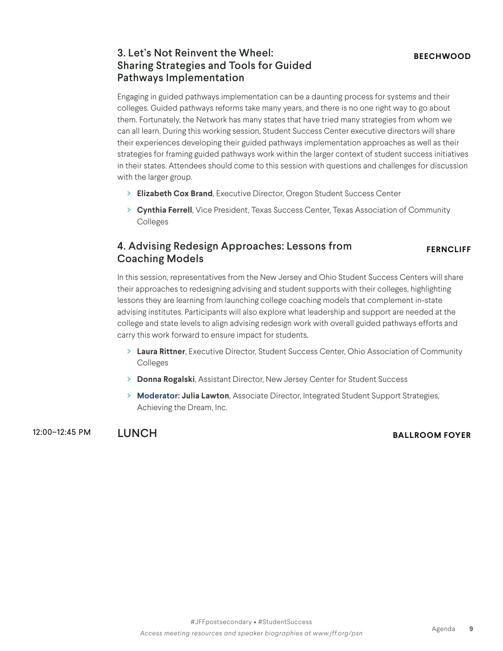#### 3. Let's Not Reinvent the Wheel: Sharing Strategies and Tools for Guided Pathways Implementation

Engaging in guided pathways implementation can be a daunting process for systems and their colleges. Guided pathways reforms take many years, and there is no one right way to go about them. Fortunately, the Network has many states that have tried many strategies from whom we can all learn. During this working session, Student Success Center executive directors will share their experiences developing their guided pathways implementation approaches as well as their strategies for framing guided pathways work within the larger context of student success initiatives in their states. Attendees should come to this session with questions and challenges for discussion with the larger group.

- **> Elizabeth Cox Brand**, Executive Director, Oregon Student Success Center
- **> Cynthia Ferrell**, Vice President, Texas Success Center, Texas Association of Community Colleges

#### 4. Advising Redesign Approaches: Lessons from Coaching Models

#### **FERNCLIFF**

In this session, representatives from the New Jersey and Ohio Student Success Centers will share their approaches to redesigning advising and student supports with their colleges, highlighting lessons they are learning from launching college coaching models that complement in-state advising institutes. Participants will also explore what leadership and support are needed at the college and state levels to align advising redesign work with overall guided pathways efforts and carry this work forward to ensure impact for students.

- **> Laura Rittner**, Executive Director, Student Success Center, Ohio Association of Community Colleges
- **> Donna Rogalski**, Assistant Director, New Jersey Center for Student Success
- **> Moderator: Julia Lawton**, Associate Director, Integrated Student Support Strategies, Achieving the Dream, Inc.

12:00–12:45 PM LUNCH **BALLROOM FOYER**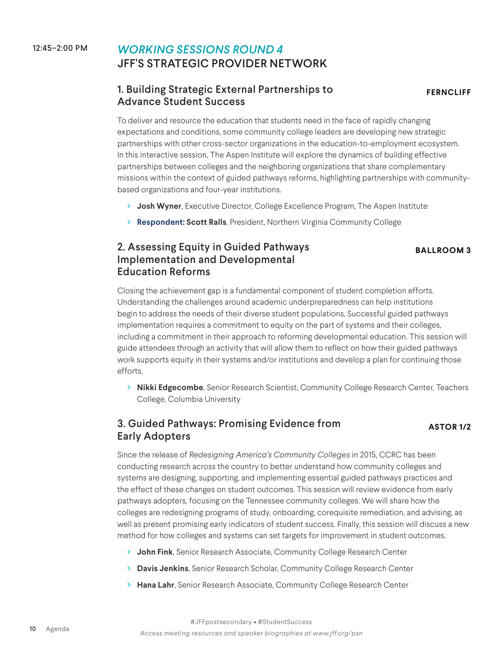#### 12:45–2:00 PM *WORKING SESSIONS ROUND 4* JFF'S STRATEGIC PROVIDER NETWORK

#### 1. Building Strategic External Partnerships to Advance Student Success

**FERNCLIFF**

To deliver and resource the education that students need in the face of rapidly changing expectations and conditions, some community college leaders are developing new strategic partnerships with other cross-sector organizations in the education-to-employment ecosystem. In this interactive session, The Aspen Institute will explore the dynamics of building effective partnerships between colleges and the neighboring organizations that share complementary missions within the context of guided pathways reforms, highlighting partnerships with communitybased organizations and four-year institutions.

- **> Josh Wyner**, Executive Director, College Excellence Program, The Aspen Institute
- **> Respondent: Scott Ralls**, President, Northern Virginia Community College

#### 2. Assessing Equity in Guided Pathways Implementation and Developmental Education Reforms

#### **BALLROOM 3**

Closing the achievement gap is a fundamental component of student completion efforts. Understanding the challenges around academic underpreparedness can help institutions begin to address the needs of their diverse student populations. Successful guided pathways implementation requires a commitment to equity on the part of systems and their colleges, including a commitment in their approach to reforming developmental education. This session will guide attendees through an activity that will allow them to reflect on how their guided pathways work supports equity in their systems and/or institutions and develop a plan for continuing those efforts.

**> Nikki Edgecombe**, Senior Research Scientist, Community College Research Center, Teachers College, Columbia University

#### 3. Guided Pathways: Promising Evidence from Early Adopters

#### **ASTOR 1/2**

Since the release of *Redesigning America's Community Colleges* in 2015, CCRC has been conducting research across the country to better understand how community colleges and systems are designing, supporting, and implementing essential guided pathways practices and the effect of these changes on student outcomes. This session will review evidence from early pathways adopters, focusing on the Tennessee community colleges. We will share how the colleges are redesigning programs of study, onboarding, corequisite remediation, and advising, as well as present promising early indicators of student success. Finally, this session will discuss a new method for how colleges and systems can set targets for improvement in student outcomes.

- **> John Fink**, Senior Research Associate, Community College Research Center
- **> Davis Jenkins**, Senior Research Scholar, Community College Research Center
- **> Hana Lahr**, Senior Research Associate, Community College Research Center